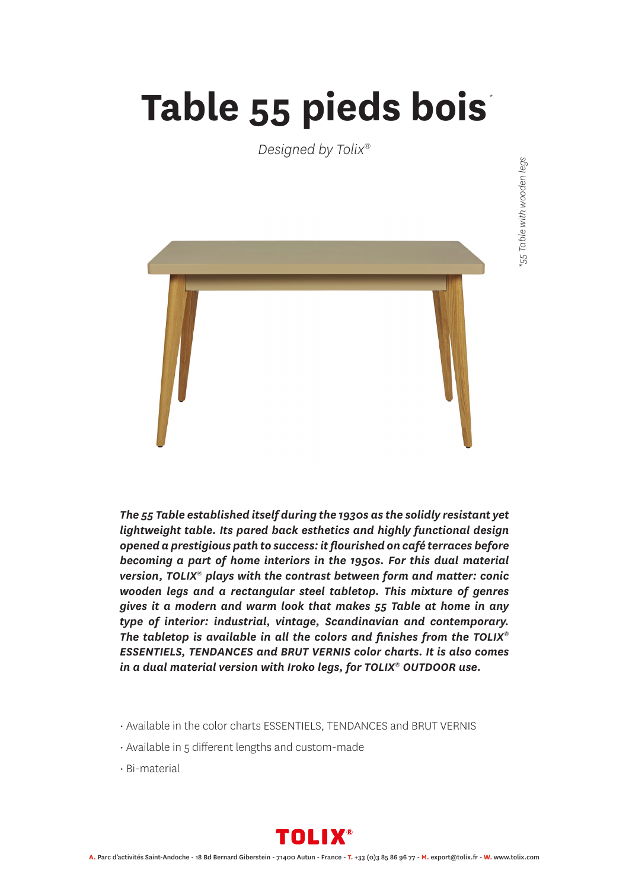## **Table 55 pieds bois** *\**

*Designed by Tolix®*



*The 55 Table established itself during the 1930s as the solidly resistant yet lightweight table. Its pared back esthetics and highly functional design opened a prestigious path to success: it flourished on café terraces before becoming a part of home interiors in the 1950s. For this dual material version, TOLIX® plays with the contrast between form and matter: conic wooden legs and a rectangular steel tabletop. This mixture of genres gives it a modern and warm look that makes 55 Table at home in any type of interior: industrial, vintage, Scandinavian and contemporary. The tabletop is available in all the colors and finishes from the TOLIX® ESSENTIELS, TENDANCES and BRUT VERNIS color charts. It is also comes in a dual material version with Iroko legs, for TOLIX® OUTDOOR use.*

- Available in the color charts ESSENTIELS, TENDANCES and BRUT VERNIS
- Available in 5 different lengths and custom-made
- Bi-material